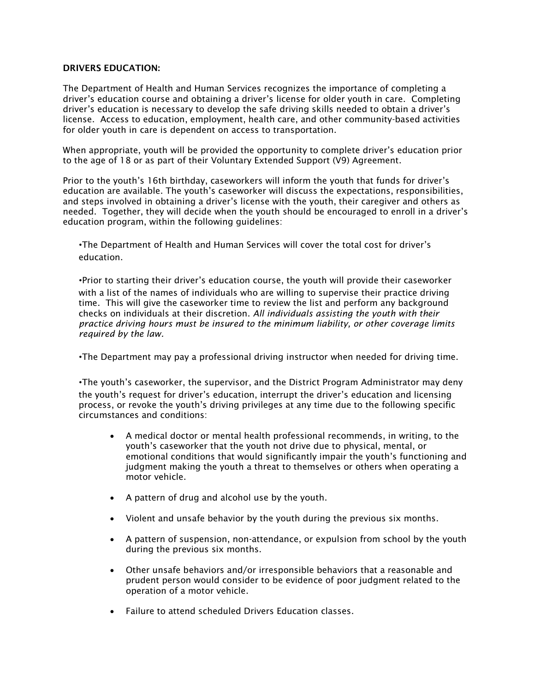## DRIVERS EDUCATION:

The Department of Health and Human Services recognizes the importance of completing a driver's education course and obtaining a driver's license for older youth in care. Completing driver's education is necessary to develop the safe driving skills needed to obtain a driver's license. Access to education, employment, health care, and other community-based activities for older youth in care is dependent on access to transportation.

When appropriate, youth will be provided the opportunity to complete driver's education prior to the age of 18 or as part of their Voluntary Extended Support (V9) Agreement.

Prior to the youth's 16th birthday, caseworkers will inform the youth that funds for driver's education are available. The youth's caseworker will discuss the expectations, responsibilities, and steps involved in obtaining a driver's license with the youth, their caregiver and others as needed. Together, they will decide when the youth should be encouraged to enroll in a driver's education program, within the following guidelines:

•The Department of Health and Human Services will cover the total cost for driver's education.

•Prior to starting their driver's education course, the youth will provide their caseworker with a list of the names of individuals who are willing to supervise their practice driving time. This will give the caseworker time to review the list and perform any background checks on individuals at their discretion. *All individuals assisting the youth with their practice driving hours must be insured to the minimum liability, or other coverage limits required by the law.*

•The Department may pay a professional driving instructor when needed for driving time.

•The youth's caseworker, the supervisor, and the District Program Administrator may deny the youth's request for driver's education, interrupt the driver's education and licensing process, or revoke the youth's driving privileges at any time due to the following specific circumstances and conditions:

- A medical doctor or mental health professional recommends, in writing, to the youth's caseworker that the youth not drive due to physical, mental, or emotional conditions that would significantly impair the youth's functioning and judgment making the youth a threat to themselves or others when operating a motor vehicle.
- A pattern of drug and alcohol use by the youth.
- Violent and unsafe behavior by the youth during the previous six months.
- A pattern of suspension, non-attendance, or expulsion from school by the youth during the previous six months.
- Other unsafe behaviors and/or irresponsible behaviors that a reasonable and prudent person would consider to be evidence of poor judgment related to the operation of a motor vehicle.
- Failure to attend scheduled Drivers Education classes.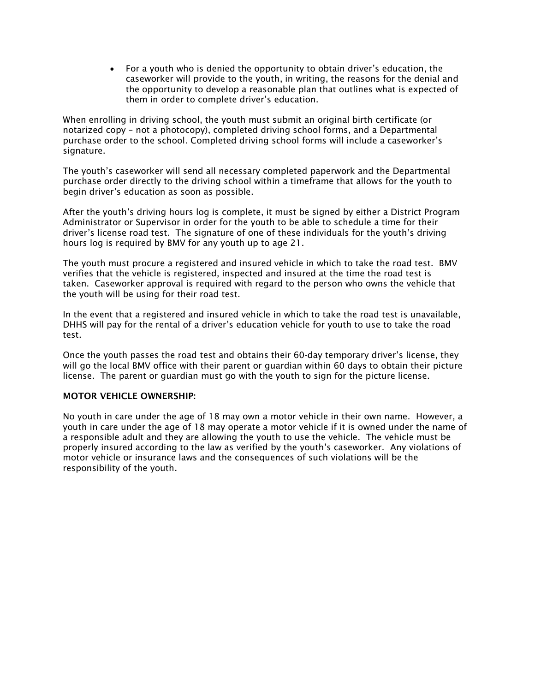For a youth who is denied the opportunity to obtain driver's education, the caseworker will provide to the youth, in writing, the reasons for the denial and the opportunity to develop a reasonable plan that outlines what is expected of them in order to complete driver's education.

When enrolling in driving school, the youth must submit an original birth certificate (or notarized copy – not a photocopy), completed driving school forms, and a Departmental purchase order to the school. Completed driving school forms will include a caseworker's signature.

The youth's caseworker will send all necessary completed paperwork and the Departmental purchase order directly to the driving school within a timeframe that allows for the youth to begin driver's education as soon as possible.

After the youth's driving hours log is complete, it must be signed by either a District Program Administrator or Supervisor in order for the youth to be able to schedule a time for their driver's license road test. The signature of one of these individuals for the youth's driving hours log is required by BMV for any youth up to age 21.

The youth must procure a registered and insured vehicle in which to take the road test. BMV verifies that the vehicle is registered, inspected and insured at the time the road test is taken. Caseworker approval is required with regard to the person who owns the vehicle that the youth will be using for their road test.

In the event that a registered and insured vehicle in which to take the road test is unavailable, DHHS will pay for the rental of a driver's education vehicle for youth to use to take the road test.

Once the youth passes the road test and obtains their 60-day temporary driver's license, they will go the local BMV office with their parent or guardian within 60 days to obtain their picture license. The parent or guardian must go with the youth to sign for the picture license.

## MOTOR VEHICLE OWNERSHIP:

No youth in care under the age of 18 may own a motor vehicle in their own name. However, a youth in care under the age of 18 may operate a motor vehicle if it is owned under the name of a responsible adult and they are allowing the youth to use the vehicle. The vehicle must be properly insured according to the law as verified by the youth's caseworker. Any violations of motor vehicle or insurance laws and the consequences of such violations will be the responsibility of the youth.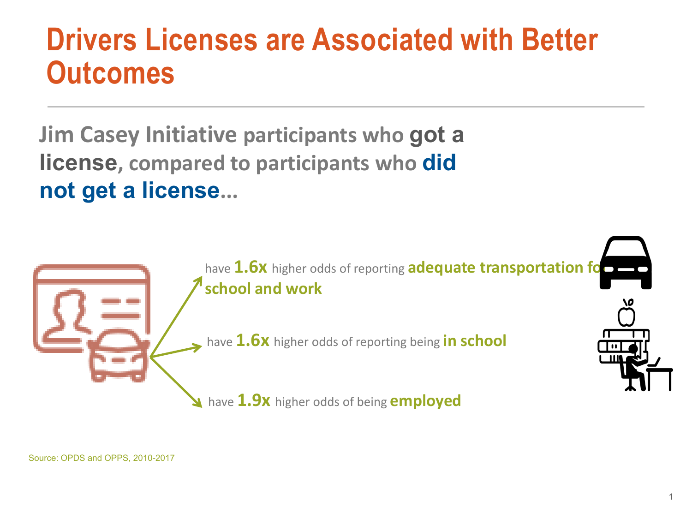## **Drivers Licenses are Associated with Better Outcomes**

**Jim Casey Initiative participants who got a license, compared to participants who did not get a license...**